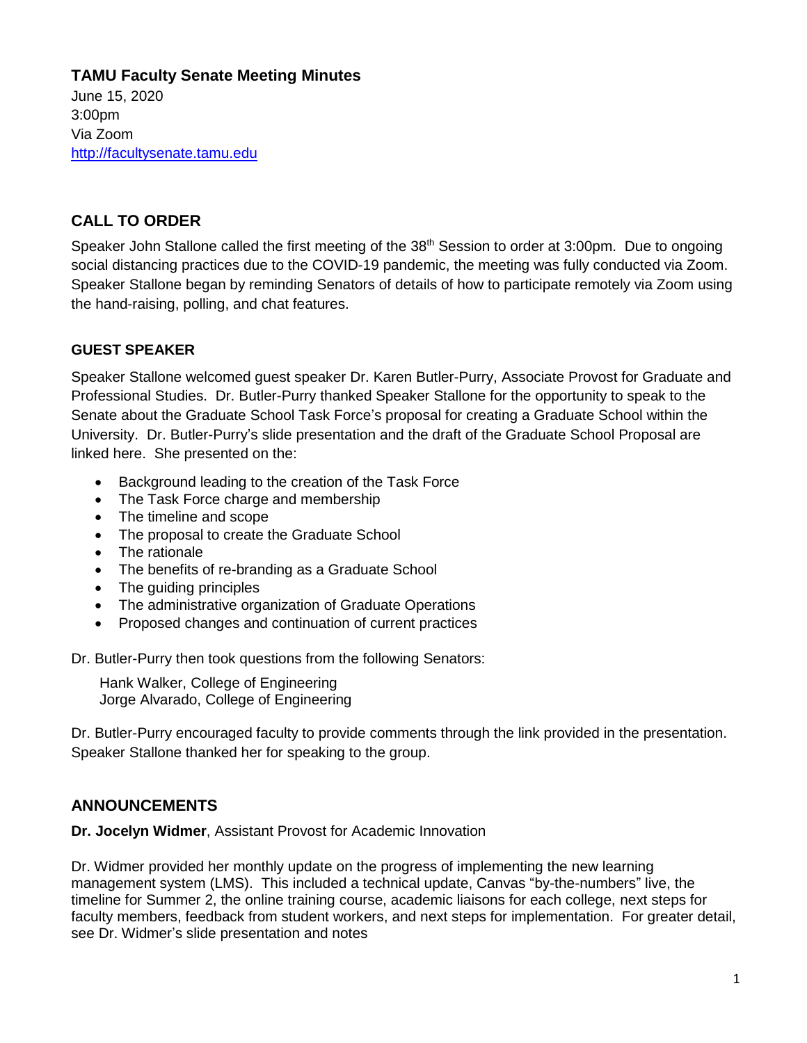# **TAMU Faculty Senate Meeting Minutes**

June 15, 2020 3:00pm Via Zoom [http://facultysenate.tamu.edu](http://facultysenate.tamu.edu/)

# **CALL TO ORDER**

Speaker John Stallone called the first meeting of the 38<sup>th</sup> Session to order at 3:00pm. Due to ongoing social distancing practices due to the COVID-19 pandemic, the meeting was fully conducted via Zoom. Speaker Stallone began by reminding Senators of details of how to participate remotely via Zoom using the hand-raising, polling, and chat features.

## **GUEST SPEAKER**

Speaker Stallone welcomed guest speaker Dr. Karen Butler-Purry, Associate Provost for Graduate and Professional Studies. Dr. Butler-Purry thanked Speaker Stallone for the opportunity to speak to the Senate about the Graduate School Task Force's proposal for creating a Graduate School within the University. Dr. Butler-Purry's slide presentation and the draft of the Graduate School Proposal are linked here. She presented on the:

- Background leading to the creation of the Task Force
- The Task Force charge and membership
- The timeline and scope
- The proposal to create the Graduate School
- The rationale
- The benefits of re-branding as a Graduate School
- The guiding principles
- The administrative organization of Graduate Operations
- Proposed changes and continuation of current practices

Dr. Butler-Purry then took questions from the following Senators:

Hank Walker, College of Engineering Jorge Alvarado, College of Engineering

Dr. Butler-Purry encouraged faculty to provide comments through the link provided in the presentation. Speaker Stallone thanked her for speaking to the group.

# **ANNOUNCEMENTS**

**Dr. Jocelyn Widmer**, Assistant Provost for Academic Innovation

Dr. Widmer provided her monthly update on the progress of implementing the new learning management system (LMS). This included a technical update, Canvas "by-the-numbers" live, the timeline for Summer 2, the online training course, academic liaisons for each college, next steps for faculty members, feedback from student workers, and next steps for implementation. For greater detail, see Dr. Widmer's slide presentation and notes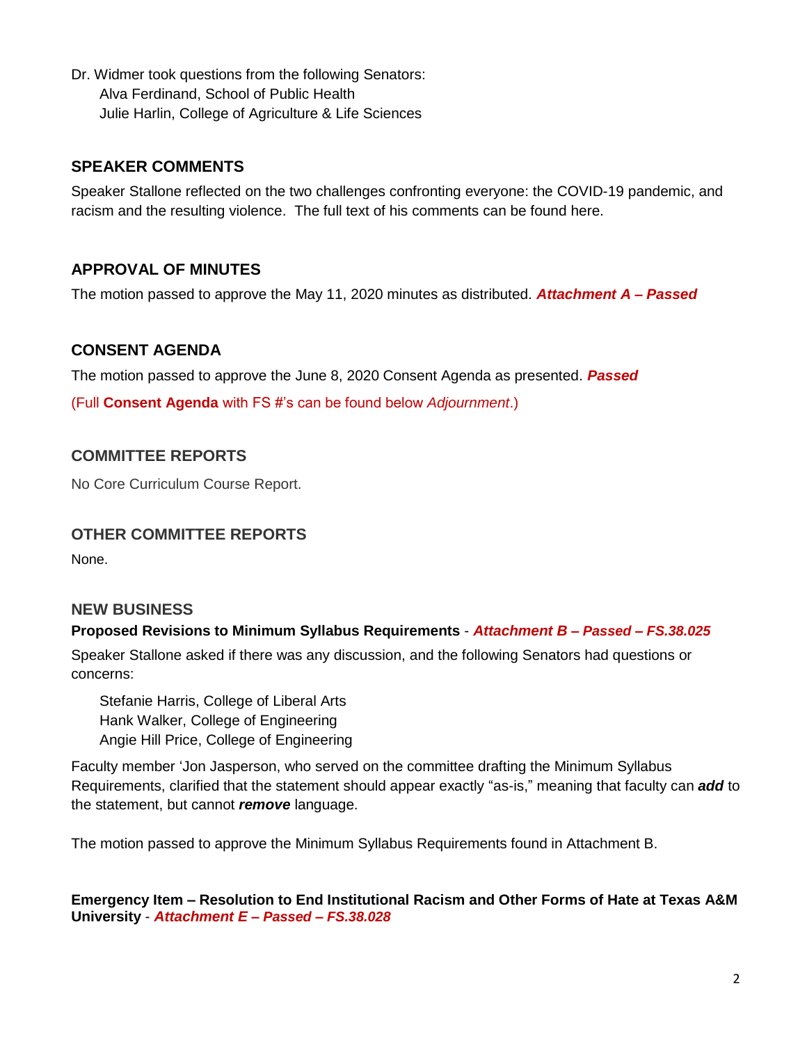Dr. Widmer took questions from the following Senators: Alva Ferdinand, School of Public Health Julie Harlin, College of Agriculture & Life Sciences

## **SPEAKER COMMENTS**

Speaker Stallone reflected on the two challenges confronting everyone: the COVID-19 pandemic, and racism and the resulting violence. The full text of his comments can be found here.

# **APPROVAL OF MINUTES**

The motion passed to approve the May 11, 2020 minutes as distributed. *Attachment A – Passed*

## **CONSENT AGENDA**

The motion passed to approve the June 8, 2020 Consent Agenda as presented. *Passed*

(Full **Consent Agenda** with FS #'s can be found below *Adjournment*.)

## **COMMITTEE REPORTS**

No Core Curriculum Course Report.

## **OTHER COMMITTEE REPORTS**

None.

## **NEW BUSINESS**

### **Proposed Revisions to Minimum Syllabus Requirements** - *Attachment B – Passed – FS.38.025*

Speaker Stallone asked if there was any discussion, and the following Senators had questions or concerns:

Stefanie Harris, College of Liberal Arts Hank Walker, College of Engineering Angie Hill Price, College of Engineering

Faculty member 'Jon Jasperson, who served on the committee drafting the Minimum Syllabus Requirements, clarified that the statement should appear exactly "as-is," meaning that faculty can *add* to the statement, but cannot *remove* language.

The motion passed to approve the Minimum Syllabus Requirements found in Attachment B.

**Emergency Item – Resolution to End Institutional Racism and Other Forms of Hate at Texas A&M University** - *Attachment E – Passed – FS.38.028*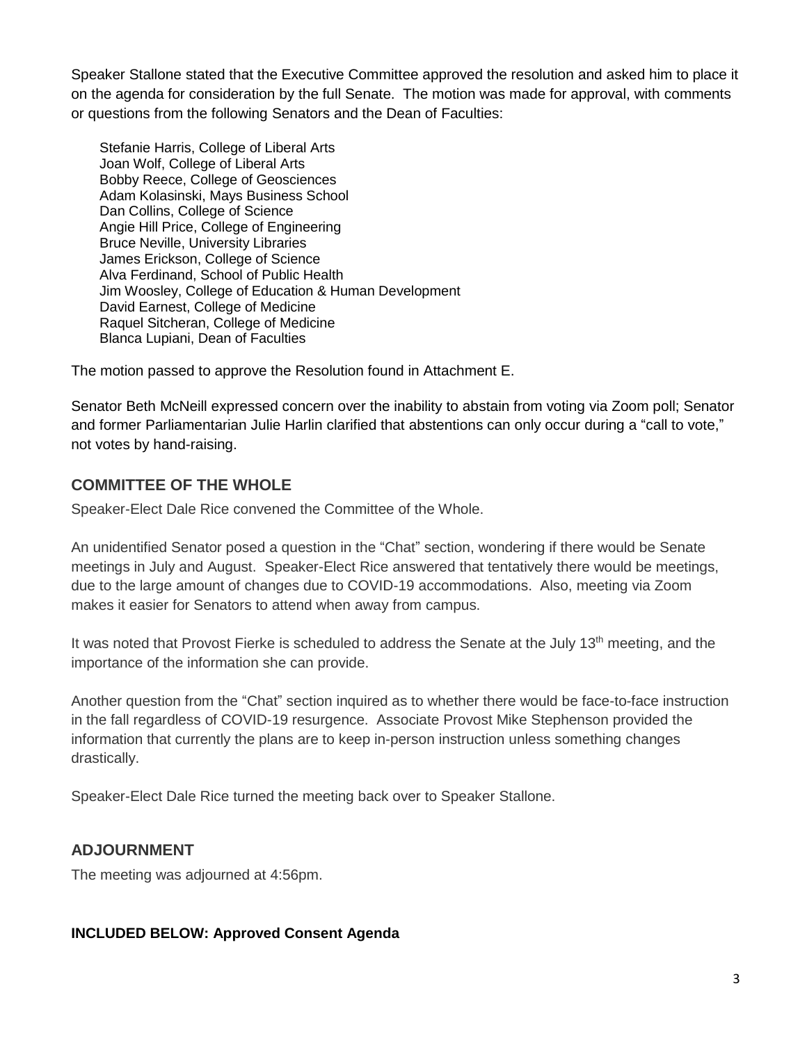Speaker Stallone stated that the Executive Committee approved the resolution and asked him to place it on the agenda for consideration by the full Senate. The motion was made for approval, with comments or questions from the following Senators and the Dean of Faculties:

Stefanie Harris, College of Liberal Arts Joan Wolf, College of Liberal Arts Bobby Reece, College of Geosciences Adam Kolasinski, Mays Business School Dan Collins, College of Science Angie Hill Price, College of Engineering Bruce Neville, University Libraries James Erickson, College of Science Alva Ferdinand, School of Public Health Jim Woosley, College of Education & Human Development David Earnest, College of Medicine Raquel Sitcheran, College of Medicine Blanca Lupiani, Dean of Faculties

The motion passed to approve the Resolution found in Attachment E.

Senator Beth McNeill expressed concern over the inability to abstain from voting via Zoom poll; Senator and former Parliamentarian Julie Harlin clarified that abstentions can only occur during a "call to vote," not votes by hand-raising.

# **COMMITTEE OF THE WHOLE**

Speaker-Elect Dale Rice convened the Committee of the Whole.

An unidentified Senator posed a question in the "Chat" section, wondering if there would be Senate meetings in July and August. Speaker-Elect Rice answered that tentatively there would be meetings, due to the large amount of changes due to COVID-19 accommodations. Also, meeting via Zoom makes it easier for Senators to attend when away from campus.

It was noted that Provost Fierke is scheduled to address the Senate at the July 13<sup>th</sup> meeting, and the importance of the information she can provide.

Another question from the "Chat" section inquired as to whether there would be face-to-face instruction in the fall regardless of COVID-19 resurgence. Associate Provost Mike Stephenson provided the information that currently the plans are to keep in-person instruction unless something changes drastically.

Speaker-Elect Dale Rice turned the meeting back over to Speaker Stallone.

# **ADJOURNMENT**

The meeting was adjourned at 4:56pm.

## **INCLUDED BELOW: Approved Consent Agenda**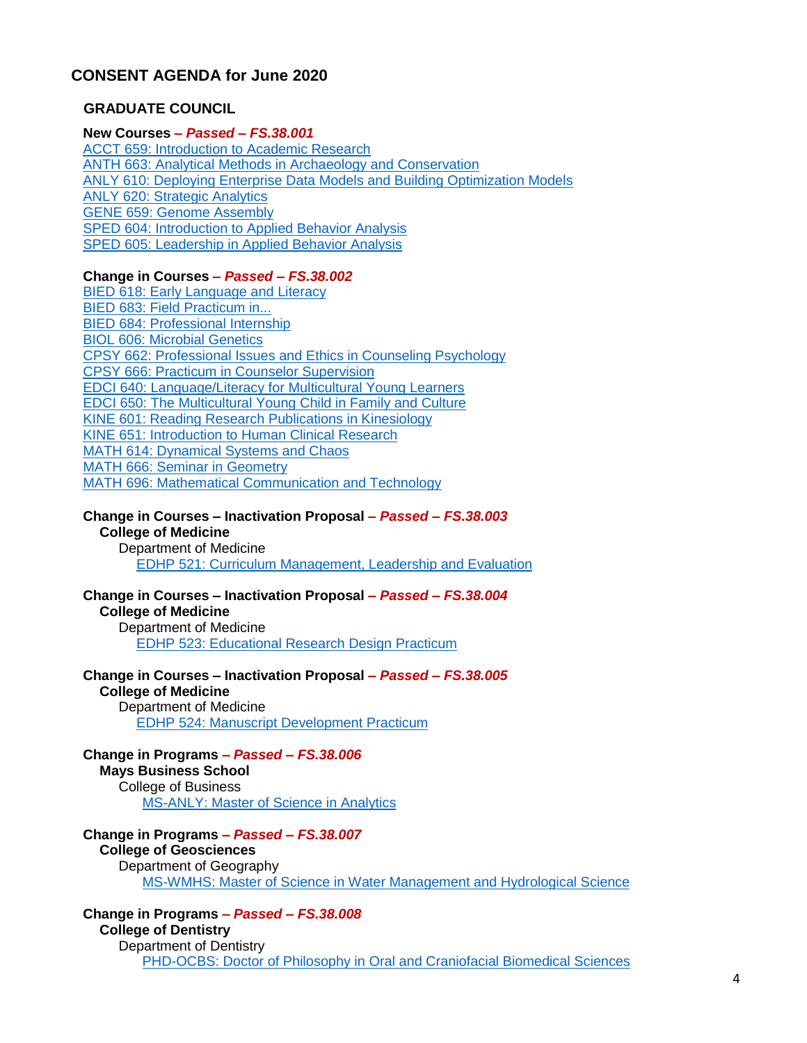## **CONSENT AGENDA for June 2020**

#### **GRADUATE COUNCIL**

### **New Courses** *– Passed – FS.38.001*

[ACCT 659: Introduction to Academic Research](https://nextcatalog.tamu.edu/courseleaf/courseleaf.cgi?page=/courseadmin/19063/index.html&step=showfullrecord) [ANTH 663: Analytical Methods in Archaeology and Conservation](https://nextcatalog.tamu.edu/courseleaf/courseleaf.cgi?page=/courseadmin/19194/index.html&step=showfullrecord) [ANLY 610: Deploying Enterprise Data Models and Building Optimization Models](https://nextcatalog.tamu.edu/courseleaf/courseleaf.cgi?page=/courseadmin/19279/index.html&step=showfullrecord) [ANLY 620: Strategic Analytics](https://nextcatalog.tamu.edu/courseleaf/courseleaf.cgi?page=/courseadmin/19280/index.html&step=showfullrecord) [GENE 659: Genome Assembly](https://nextcatalog.tamu.edu/courseleaf/courseleaf.cgi?page=/courseadmin/19067/index.html&step=showfullrecord) [SPED 604: Introduction to Applied Behavior Analysis](https://nextcatalog.tamu.edu/courseleaf/courseleaf.cgi?page=/courseadmin/19186/index.html&step=showfullrecord) [SPED 605: Leadership in Applied Behavior Analysis](https://nextcatalog.tamu.edu/courseleaf/courseleaf.cgi?page=/courseadmin/19187/index.html&step=showfullrecord)

#### **Change in Courses** *– Passed – FS.38.002*

[BIED 618: Early Language and Literacy](https://nextcatalog.tamu.edu/courseleaf/courseleaf.cgi?page=/courseadmin/1989/index.html&step=showfullrecord) [BIED 683: Field Practicum in...](https://nextcatalog.tamu.edu/courseleaf/courseleaf.cgi?page=/courseadmin/1995/index.html&step=showfullrecord) [BIED 684: Professional Internship](https://nextcatalog.tamu.edu/courseleaf/courseleaf.cgi?page=/courseadmin/1996/index.html&step=showfullrecord) [BIOL 606: Microbial Genetics](https://nextcatalog.tamu.edu/courseleaf/courseleaf.cgi?page=/courseadmin/2250/index.html&step=showfullrecord) [CPSY 662: Professional Issues and Ethics in Counseling Psychology](https://nextcatalog.tamu.edu/courseleaf/courseleaf.cgi?page=/courseadmin/3476/index.html&step=showfullrecord) [CPSY 666: Practicum in Counselor Supervision](https://nextcatalog.tamu.edu/courseleaf/courseleaf.cgi?page=/courseadmin/3478/index.html&step=showfullrecord) [EDCI 640: Language/Literacy for Multicultural Young Learners](https://nextcatalog.tamu.edu/courseleaf/courseleaf.cgi?page=/courseadmin/4787/index.html&step=showfullrecord) [EDCI 650: The Multicultural Young Child in Family and Culture](https://nextcatalog.tamu.edu/courseleaf/courseleaf.cgi?page=/courseadmin/4797/index.html&step=showfullrecord) [KINE 601: Reading Research Publications in Kinesiology](https://nextcatalog.tamu.edu/courseleaf/courseleaf.cgi?page=/courseadmin/9009/index.html&step=showfullrecord) [KINE 651: Introduction to Human Clinical Research](https://nextcatalog.tamu.edu/courseleaf/courseleaf.cgi?page=/courseadmin/18552/index.html&step=showfullrecord) [MATH 614: Dynamical Systems and Chaos](https://nextcatalog.tamu.edu/courseleaf/courseleaf.cgi?page=/courseadmin/10265/index.html&step=showfullrecord) [MATH 666: Seminar in Geometry](https://nextcatalog.tamu.edu/courseleaf/courseleaf.cgi?page=/courseadmin/10313/index.html&step=showfullrecord) [MATH 696: Mathematical Communication and Technology](https://nextcatalog.tamu.edu/courseleaf/courseleaf.cgi?page=/courseadmin/10330/index.html&step=showfullrecord)

#### **Change in Courses – Inactivation Proposal** *– Passed – FS.38.003*

#### **College of Medicine**

Department of Medicine [EDHP 521: Curriculum Management, Leadership and Evaluation](https://nextcatalog.tamu.edu/courseleaf/courseleaf.cgi?page=/courseadmin/4853/index.html&step=showfullrecord)

**Change in Courses – Inactivation Proposal** *– Passed – FS.38.004* **College of Medicine** Department of Medicine [EDHP 523: Educational Research Design Practicum](https://nextcatalog.tamu.edu/courseleaf/courseleaf.cgi?page=/courseadmin/4855/index.html&step=showfullrecord)

**Change in Courses – Inactivation Proposal** *– Passed – FS.38.005* **College of Medicine** Department of Medicine [EDHP 524: Manuscript Development Practicum](https://nextcatalog.tamu.edu/courseleaf/courseleaf.cgi?page=/courseadmin/4856/index.html&step=showfullrecord)

**Change in Programs** *– Passed – FS.38.006* **Mays Business School** College of Business [MS-ANLY: Master of Science in Analytics](https://nextcatalog.tamu.edu/courseleaf/courseleaf.cgi?page=/programadmin/346/index.html&step=showfullrecord)

#### **Change in Programs** *– Passed – FS.38.007* **College of Geosciences** Department of Geography [MS-WMHS: Master of Science in Water Management and Hydrological Science](https://nextcatalog.tamu.edu/courseleaf/courseleaf.cgi?page=/programadmin/274/index.html&step=showfullrecord)

**Change in Programs** *– Passed – FS.38.008* **College of Dentistry** Department of Dentistry [PHD-OCBS: Doctor of Philosophy in Oral and Craniofacial Biomedical Sciences](https://nextcatalog.tamu.edu/courseleaf/courseleaf.cgi?page=/programadmin/619/index.html&step=showfullrecord)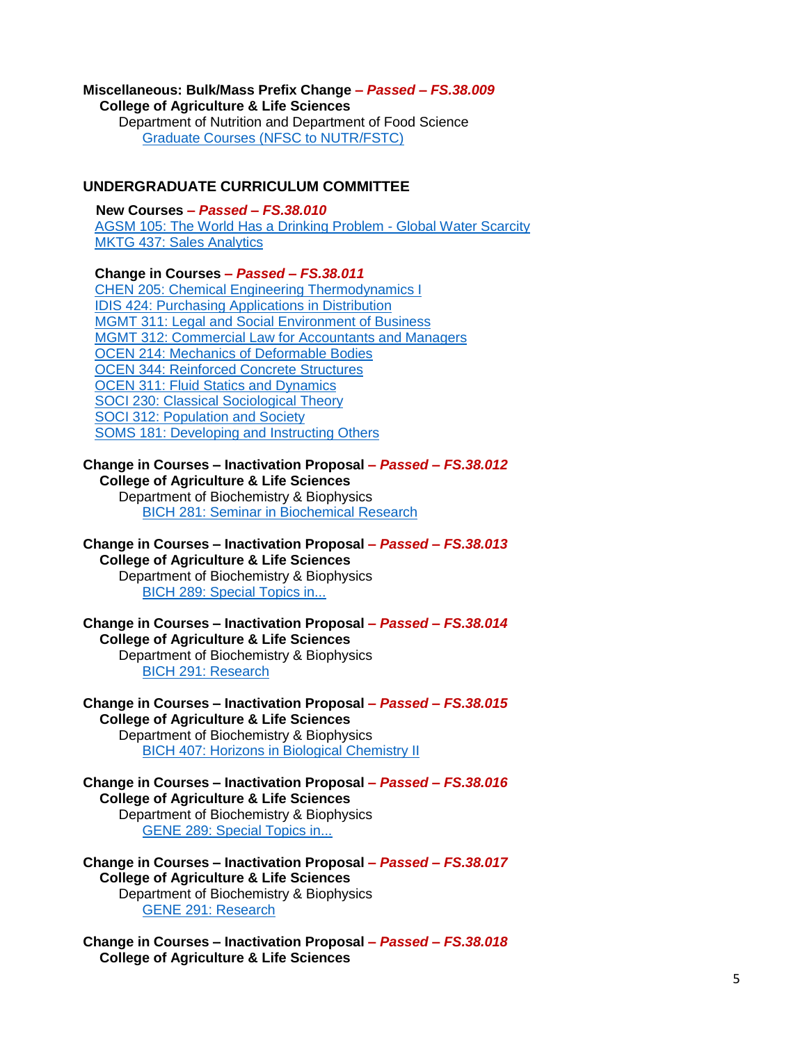# **Miscellaneous: Bulk/Mass Prefix Change** *– Passed – FS.38.009*

**College of Agriculture & Life Sciences** Department of Nutrition and Department of Food Science [Graduate Courses \(NFSC to NUTR/FSTC\)](https://nextcatalog.tamu.edu/courseleaf/courseleaf.cgi?page=/miscadmin/253/index.html&step=showfullrecord)

### **UNDERGRADUATE CURRICULUM COMMITTEE**

**New Courses** *– Passed – FS.38.010* [AGSM 105: The World Has a Drinking Problem -](https://nextcatalog.tamu.edu/courseleaf/courseleaf.cgi?page=/courseadmin/19478/index.html&step=showfullrecord) Global Water Scarcity [MKTG 437: Sales Analytics](https://nextcatalog.tamu.edu/courseleaf/courseleaf.cgi?page=/courseadmin/19339/index.html&step=showfullrecord)

**Change in Courses** *– Passed – FS.38.011*

CHEN [205: Chemical Engineering Thermodynamics I](https://nextcatalog.tamu.edu/courseleaf/courseleaf.cgi?page=/courseadmin/2898/index.html&step=showfullrecord) [IDIS 424: Purchasing Applications in Distribution](https://nextcatalog.tamu.edu/courseleaf/courseleaf.cgi?page=/courseadmin/7988/index.html&step=showfullrecord) [MGMT 311: Legal and Social Environment of Business](https://nextcatalog.tamu.edu/courseleaf/courseleaf.cgi?page=/courseadmin/10876/index.html&step=showfullrecord) [MGMT 312: Commercial Law for Accountants and Managers](https://nextcatalog.tamu.edu/courseleaf/courseleaf.cgi?page=/courseadmin/10877/index.html&step=showfullrecord) [OCEN 214: Mechanics of Deformable Bodies](https://nextcatalog.tamu.edu/courseleaf/courseleaf.cgi?page=/courseadmin/17336/index.html&step=showfullrecord) [OCEN 344: Reinforced Concrete Structures](https://nextcatalog.tamu.edu/courseleaf/courseleaf.cgi?page=/courseadmin/10065/index.html&step=showfullrecord) [OCEN 311: Fluid Statics and Dynamics](https://nextcatalog.tamu.edu/courseleaf/courseleaf.cgi?page=/courseadmin/18380/index.html&step=showfullrecord) [SOCI 230: Classical Sociological Theory](https://nextcatalog.tamu.edu/courseleaf/courseleaf.cgi?page=/courseadmin/14641/index.html&step=showfullrecord) [SOCI 312: Population and Society](https://nextcatalog.tamu.edu/courseleaf/courseleaf.cgi?page=/courseadmin/14653/index.html&step=showfullrecord) [SOMS 181: Developing and Instructing Others](https://nextcatalog.tamu.edu/courseleaf/courseleaf.cgi?page=/courseadmin/18802/index.html&step=showfullrecord)

#### **Change in Courses – Inactivation Proposal** *– Passed – FS.38.012* **College of Agriculture & Life Sciences**

Department of Biochemistry & Biophysics [BICH 281: Seminar in Biochemical Research](https://nextcatalog.tamu.edu/courseleaf/courseleaf.cgi?page=/courseadmin/1904/index.html&step=showfullrecord)

**Change in Courses – Inactivation Proposal** *– Passed – FS.38.013*

#### **College of Agriculture & Life Sciences**

Department of Biochemistry & Biophysics [BICH 289: Special Topics in...](https://nextcatalog.tamu.edu/courseleaf/courseleaf.cgi?page=/courseadmin/1906/index.html&step=showfullrecord)

**Change in Courses – Inactivation Proposal** *– Passed – FS.38.014* **College of Agriculture & Life Sciences** Department of Biochemistry & Biophysics [BICH 291: Research](https://nextcatalog.tamu.edu/courseleaf/courseleaf.cgi?page=/courseadmin/1907/index.html&step=showfullrecord)

**Change in Courses – Inactivation Proposal** *– Passed – FS.38.015* **College of Agriculture & Life Sciences** Department of Biochemistry & Biophysics [BICH 407: Horizons in Biological Chemistry II](https://nextcatalog.tamu.edu/courseleaf/courseleaf.cgi?page=/courseadmin/1915/index.html&step=showfullrecord)

**Change in Courses – Inactivation Proposal** *– Passed – FS.38.016* **College of Agriculture & Life Sciences** Department of Biochemistry & Biophysics [GENE 289: Special Topics in...](https://nextcatalog.tamu.edu/courseleaf/courseleaf.cgi?page=/courseadmin/6660/index.html&step=showfullrecord)

**Change in Courses – Inactivation Proposal** *– Passed – FS.38.017* **College of Agriculture & Life Sciences** Department of Biochemistry & Biophysics [GENE 291: Research](https://nextcatalog.tamu.edu/courseleaf/courseleaf.cgi?page=/courseadmin/6661/index.html&step=showfullrecord)

**Change in Courses – Inactivation Proposal** *– Passed – FS.38.018* **College of Agriculture & Life Sciences**